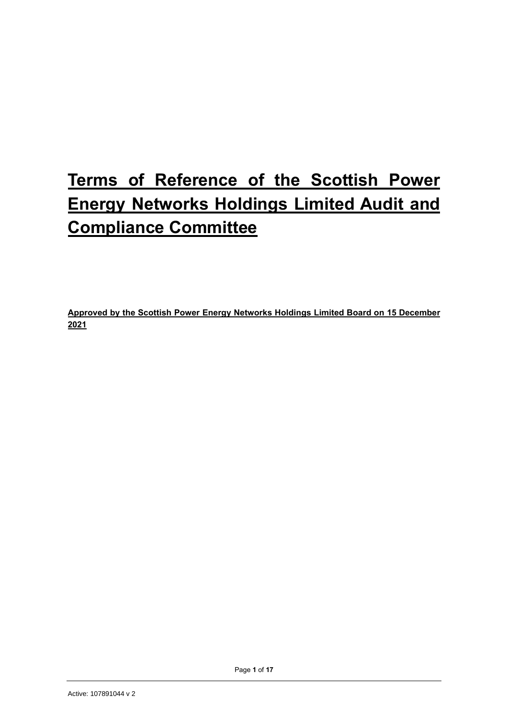# **Terms of Reference of the Scottish Power Energy Networks Holdings Limited Audit and Compliance Committee**

**Approved by the Scottish Power Energy Networks Holdings Limited Board on 15 December 2021**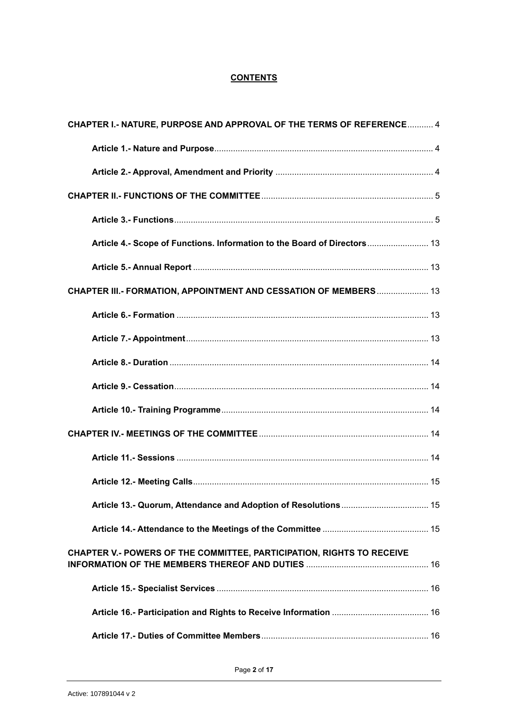## **CONTENTS**

| CHAPTER I.- NATURE, PURPOSE AND APPROVAL OF THE TERMS OF REFERENCE 4     |  |
|--------------------------------------------------------------------------|--|
|                                                                          |  |
|                                                                          |  |
|                                                                          |  |
|                                                                          |  |
| Article 4.- Scope of Functions. Information to the Board of Directors 13 |  |
|                                                                          |  |
| CHAPTER III.- FORMATION, APPOINTMENT AND CESSATION OF MEMBERS  13        |  |
|                                                                          |  |
|                                                                          |  |
|                                                                          |  |
|                                                                          |  |
|                                                                          |  |
|                                                                          |  |
|                                                                          |  |
|                                                                          |  |
|                                                                          |  |
|                                                                          |  |
| CHAPTER V.- POWERS OF THE COMMITTEE, PARTICIPATION, RIGHTS TO RECEIVE    |  |
|                                                                          |  |
|                                                                          |  |
|                                                                          |  |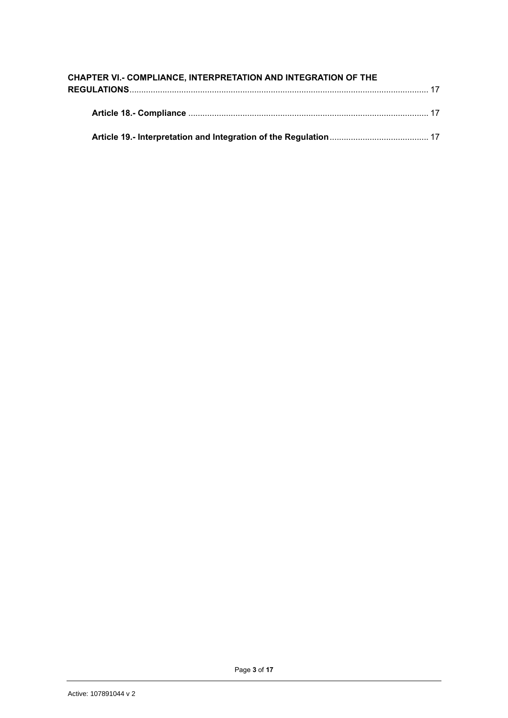| CHAPTER VI.- COMPLIANCE, INTERPRETATION AND INTEGRATION OF THE |  |
|----------------------------------------------------------------|--|
|                                                                |  |
|                                                                |  |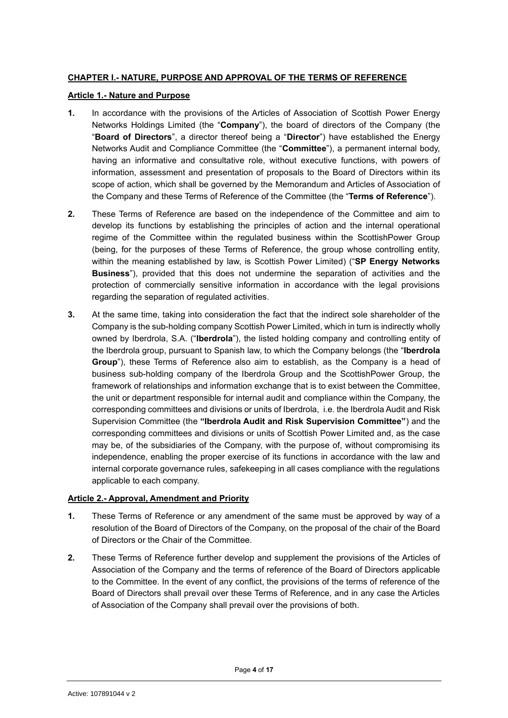#### <span id="page-3-0"></span>**CHAPTER I.- NATURE, PURPOSE AND APPROVAL OF THE TERMS OF REFERENCE**

#### <span id="page-3-1"></span>**Article 1.- Nature and Purpose**

- **1.** In accordance with the provisions of the Articles of Association of Scottish Power Energy Networks Holdings Limited (the "**Company**"), the board of directors of the Company (the "**Board of Directors**", a director thereof being a "**Director**") have established the Energy Networks Audit and Compliance Committee (the "**Committee**"), a permanent internal body, having an informative and consultative role, without executive functions, with powers of information, assessment and presentation of proposals to the Board of Directors within its scope of action, which shall be governed by the Memorandum and Articles of Association of the Company and these Terms of Reference of the Committee (the "**Terms of Reference**").
- **2.** These Terms of Reference are based on the independence of the Committee and aim to develop its functions by establishing the principles of action and the internal operational regime of the Committee within the regulated business within the ScottishPower Group (being, for the purposes of these Terms of Reference, the group whose controlling entity, within the meaning established by law, is Scottish Power Limited) ("**SP Energy Networks Business**"), provided that this does not undermine the separation of activities and the protection of commercially sensitive information in accordance with the legal provisions regarding the separation of regulated activities.
- **3.** At the same time, taking into consideration the fact that the indirect sole shareholder of the Company is the sub-holding company Scottish Power Limited, which in turn is indirectly wholly owned by Iberdrola, S.A. ("**Iberdrola**"), the listed holding company and controlling entity of the Iberdrola group, pursuant to Spanish law, to which the Company belongs (the "**Iberdrola Group**"), these Terms of Reference also aim to establish, as the Company is a head of business sub-holding company of the Iberdrola Group and the ScottishPower Group, the framework of relationships and information exchange that is to exist between the Committee, the unit or department responsible for internal audit and compliance within the Company, the corresponding committees and divisions or units of Iberdrola, i.e. the Iberdrola Audit and Risk Supervision Committee (the **"Iberdrola Audit and Risk Supervision Committee"**) and the corresponding committees and divisions or units of Scottish Power Limited and, as the case may be, of the subsidiaries of the Company, with the purpose of, without compromising its independence, enabling the proper exercise of its functions in accordance with the law and internal corporate governance rules, safekeeping in all cases compliance with the regulations applicable to each company.

## <span id="page-3-2"></span>**Article 2.- Approval, Amendment and Priority**

- **1.** These Terms of Reference or any amendment of the same must be approved by way of a resolution of the Board of Directors of the Company, on the proposal of the chair of the Board of Directors or the Chair of the Committee.
- **2.** These Terms of Reference further develop and supplement the provisions of the Articles of Association of the Company and the terms of reference of the Board of Directors applicable to the Committee. In the event of any conflict, the provisions of the terms of reference of the Board of Directors shall prevail over these Terms of Reference, and in any case the Articles of Association of the Company shall prevail over the provisions of both.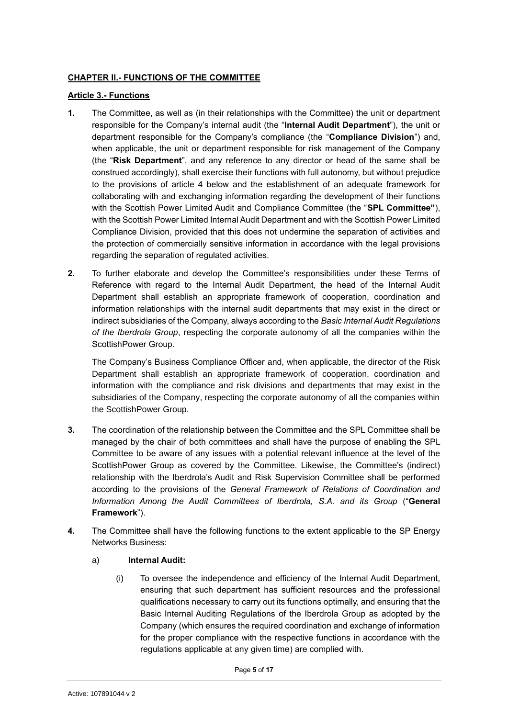#### <span id="page-4-0"></span>**CHAPTER II.- FUNCTIONS OF THE COMMITTEE**

#### <span id="page-4-1"></span>**Article 3.- Functions**

- **1.** The Committee, as well as (in their relationships with the Committee) the unit or department responsible for the Company's internal audit (the "**Internal Audit Department**"), the unit or department responsible for the Company's compliance (the "**Compliance Division**") and, when applicable, the unit or department responsible for risk management of the Company (the "**Risk Department**", and any reference to any director or head of the same shall be construed accordingly), shall exercise their functions with full autonomy, but without prejudice to the provisions of article 4 below and the establishment of an adequate framework for collaborating with and exchanging information regarding the development of their functions with the Scottish Power Limited Audit and Compliance Committee (the "**SPL Committee"**), with the Scottish Power Limited Internal Audit Department and with the Scottish Power Limited Compliance Division, provided that this does not undermine the separation of activities and the protection of commercially sensitive information in accordance with the legal provisions regarding the separation of regulated activities.
- **2.** To further elaborate and develop the Committee's responsibilities under these Terms of Reference with regard to the Internal Audit Department, the head of the Internal Audit Department shall establish an appropriate framework of cooperation, coordination and information relationships with the internal audit departments that may exist in the direct or indirect subsidiaries of the Company, always according to the *Basic Internal Audit Regulations of the Iberdrola Group*, respecting the corporate autonomy of all the companies within the ScottishPower Group.

The Company's Business Compliance Officer and, when applicable, the director of the Risk Department shall establish an appropriate framework of cooperation, coordination and information with the compliance and risk divisions and departments that may exist in the subsidiaries of the Company, respecting the corporate autonomy of all the companies within the ScottishPower Group.

- **3.** The coordination of the relationship between the Committee and the SPL Committee shall be managed by the chair of both committees and shall have the purpose of enabling the SPL Committee to be aware of any issues with a potential relevant influence at the level of the ScottishPower Group as covered by the Committee. Likewise, the Committee's (indirect) relationship with the Iberdrola's Audit and Risk Supervision Committee shall be performed according to the provisions of the *General Framework of Relations of Coordination and Information Among the Audit Committees of Iberdrola, S.A. and its Group* ("**General Framework**").
- **4.** The Committee shall have the following functions to the extent applicable to the SP Energy Networks Business:

## a) **Internal Audit:**

(i) To oversee the independence and efficiency of the Internal Audit Department, ensuring that such department has sufficient resources and the professional qualifications necessary to carry out its functions optimally, and ensuring that the Basic Internal Auditing Regulations of the Iberdrola Group as adopted by the Company (which ensures the required coordination and exchange of information for the proper compliance with the respective functions in accordance with the regulations applicable at any given time) are complied with.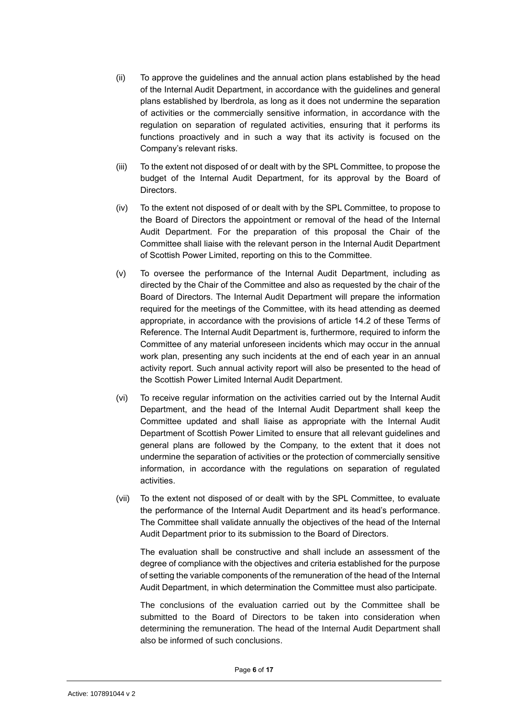- (ii) To approve the guidelines and the annual action plans established by the head of the Internal Audit Department, in accordance with the guidelines and general plans established by Iberdrola, as long as it does not undermine the separation of activities or the commercially sensitive information, in accordance with the regulation on separation of regulated activities, ensuring that it performs its functions proactively and in such a way that its activity is focused on the Company's relevant risks.
- (iii) To the extent not disposed of or dealt with by the SPL Committee, to propose the budget of the Internal Audit Department, for its approval by the Board of Directors.
- (iv) To the extent not disposed of or dealt with by the SPL Committee, to propose to the Board of Directors the appointment or removal of the head of the Internal Audit Department. For the preparation of this proposal the Chair of the Committee shall liaise with the relevant person in the Internal Audit Department of Scottish Power Limited, reporting on this to the Committee.
- (v) To oversee the performance of the Internal Audit Department, including as directed by the Chair of the Committee and also as requested by the chair of the Board of Directors. The Internal Audit Department will prepare the information required for the meetings of the Committee, with its head attending as deemed appropriate, in accordance with the provisions of article 14.2 of these Terms of Reference. The Internal Audit Department is, furthermore, required to inform the Committee of any material unforeseen incidents which may occur in the annual work plan, presenting any such incidents at the end of each year in an annual activity report. Such annual activity report will also be presented to the head of the Scottish Power Limited Internal Audit Department.
- (vi) To receive regular information on the activities carried out by the Internal Audit Department, and the head of the Internal Audit Department shall keep the Committee updated and shall liaise as appropriate with the Internal Audit Department of Scottish Power Limited to ensure that all relevant guidelines and general plans are followed by the Company, to the extent that it does not undermine the separation of activities or the protection of commercially sensitive information, in accordance with the regulations on separation of regulated activities.
- (vii) To the extent not disposed of or dealt with by the SPL Committee, to evaluate the performance of the Internal Audit Department and its head's performance. The Committee shall validate annually the objectives of the head of the Internal Audit Department prior to its submission to the Board of Directors.

The evaluation shall be constructive and shall include an assessment of the degree of compliance with the objectives and criteria established for the purpose of setting the variable components of the remuneration of the head of the Internal Audit Department, in which determination the Committee must also participate.

The conclusions of the evaluation carried out by the Committee shall be submitted to the Board of Directors to be taken into consideration when determining the remuneration. The head of the Internal Audit Department shall also be informed of such conclusions.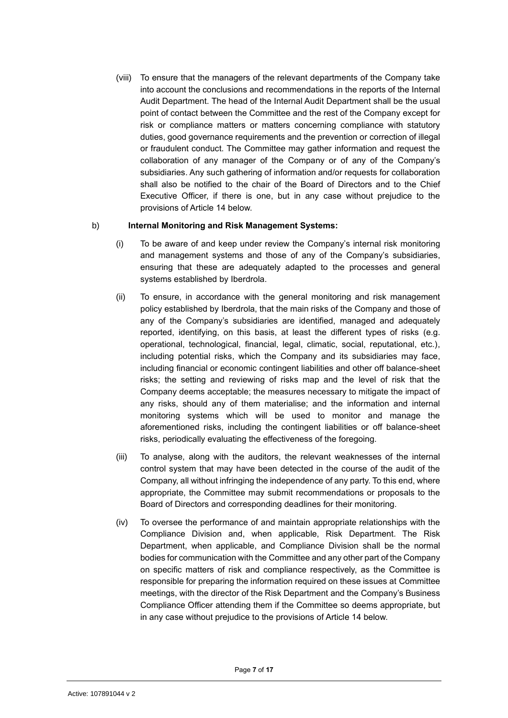(viii) To ensure that the managers of the relevant departments of the Company take into account the conclusions and recommendations in the reports of the Internal Audit Department. The head of the Internal Audit Department shall be the usual point of contact between the Committee and the rest of the Company except for risk or compliance matters or matters concerning compliance with statutory duties, good governance requirements and the prevention or correction of illegal or fraudulent conduct. The Committee may gather information and request the collaboration of any manager of the Company or of any of the Company's subsidiaries. Any such gathering of information and/or requests for collaboration shall also be notified to the chair of the Board of Directors and to the Chief Executive Officer, if there is one, but in any case without prejudice to the provisions of Article 14 below.

#### b) **Internal Monitoring and Risk Management Systems:**

- (i) To be aware of and keep under review the Company's internal risk monitoring and management systems and those of any of the Company's subsidiaries, ensuring that these are adequately adapted to the processes and general systems established by Iberdrola.
- (ii) To ensure, in accordance with the general monitoring and risk management policy established by Iberdrola, that the main risks of the Company and those of any of the Company's subsidiaries are identified, managed and adequately reported, identifying, on this basis, at least the different types of risks (e.g. operational, technological, financial, legal, climatic, social, reputational, etc.), including potential risks, which the Company and its subsidiaries may face, including financial or economic contingent liabilities and other off balance-sheet risks; the setting and reviewing of risks map and the level of risk that the Company deems acceptable; the measures necessary to mitigate the impact of any risks, should any of them materialise; and the information and internal monitoring systems which will be used to monitor and manage the aforementioned risks, including the contingent liabilities or off balance-sheet risks, periodically evaluating the effectiveness of the foregoing.
- (iii) To analyse, along with the auditors, the relevant weaknesses of the internal control system that may have been detected in the course of the audit of the Company, all without infringing the independence of any party. To this end, where appropriate, the Committee may submit recommendations or proposals to the Board of Directors and corresponding deadlines for their monitoring.
- (iv) To oversee the performance of and maintain appropriate relationships with the Compliance Division and, when applicable, Risk Department. The Risk Department, when applicable, and Compliance Division shall be the normal bodies for communication with the Committee and any other part of the Company on specific matters of risk and compliance respectively, as the Committee is responsible for preparing the information required on these issues at Committee meetings, with the director of the Risk Department and the Company's Business Compliance Officer attending them if the Committee so deems appropriate, but in any case without prejudice to the provisions of Article 14 below.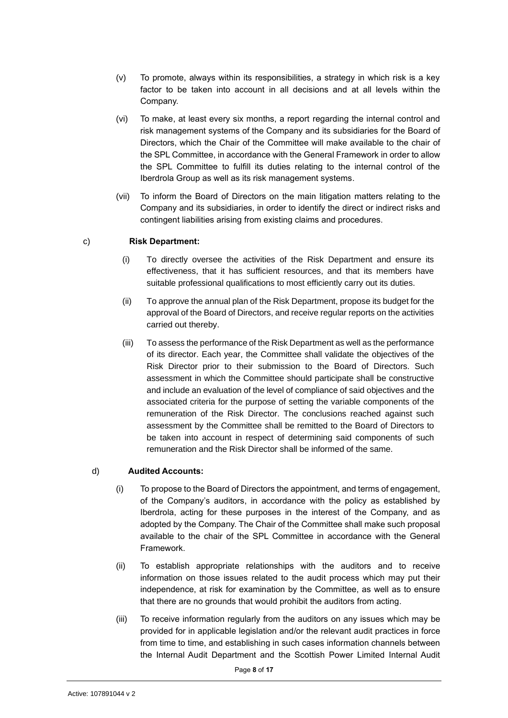- (v) To promote, always within its responsibilities, a strategy in which risk is a key factor to be taken into account in all decisions and at all levels within the Company.
- (vi) To make, at least every six months, a report regarding the internal control and risk management systems of the Company and its subsidiaries for the Board of Directors, which the Chair of the Committee will make available to the chair of the SPL Committee, in accordance with the General Framework in order to allow the SPL Committee to fulfill its duties relating to the internal control of the Iberdrola Group as well as its risk management systems.
- (vii) To inform the Board of Directors on the main litigation matters relating to the Company and its subsidiaries, in order to identify the direct or indirect risks and contingent liabilities arising from existing claims and procedures.

#### c) **Risk Department:**

- (i) To directly oversee the activities of the Risk Department and ensure its effectiveness, that it has sufficient resources, and that its members have suitable professional qualifications to most efficiently carry out its duties.
- (ii) To approve the annual plan of the Risk Department, propose its budget for the approval of the Board of Directors, and receive regular reports on the activities carried out thereby.
- (iii) To assess the performance of the Risk Department as well as the performance of its director. Each year, the Committee shall validate the objectives of the Risk Director prior to their submission to the Board of Directors. Such assessment in which the Committee should participate shall be constructive and include an evaluation of the level of compliance of said objectives and the associated criteria for the purpose of setting the variable components of the remuneration of the Risk Director. The conclusions reached against such assessment by the Committee shall be remitted to the Board of Directors to be taken into account in respect of determining said components of such remuneration and the Risk Director shall be informed of the same.

#### d) **Audited Accounts:**

- (i) To propose to the Board of Directors the appointment, and terms of engagement, of the Company's auditors, in accordance with the policy as established by Iberdrola, acting for these purposes in the interest of the Company, and as adopted by the Company. The Chair of the Committee shall make such proposal available to the chair of the SPL Committee in accordance with the General Framework.
- (ii) To establish appropriate relationships with the auditors and to receive information on those issues related to the audit process which may put their independence, at risk for examination by the Committee, as well as to ensure that there are no grounds that would prohibit the auditors from acting.
- (iii) To receive information regularly from the auditors on any issues which may be provided for in applicable legislation and/or the relevant audit practices in force from time to time, and establishing in such cases information channels between the Internal Audit Department and the Scottish Power Limited Internal Audit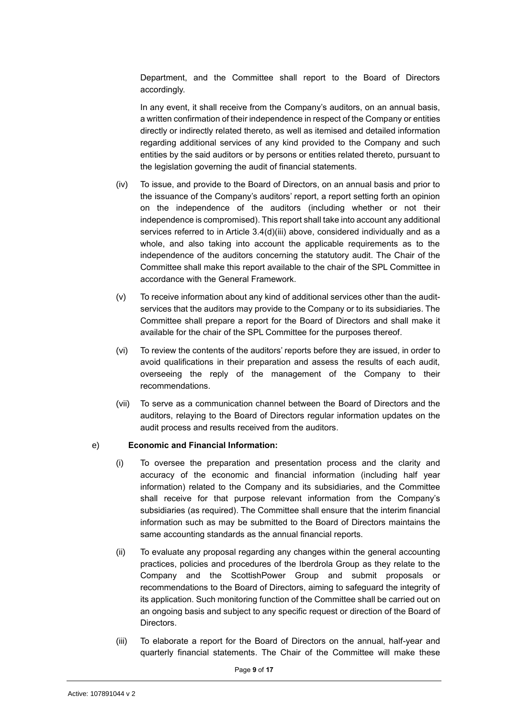Department, and the Committee shall report to the Board of Directors accordingly.

In any event, it shall receive from the Company's auditors, on an annual basis, a written confirmation of their independence in respect of the Company or entities directly or indirectly related thereto, as well as itemised and detailed information regarding additional services of any kind provided to the Company and such entities by the said auditors or by persons or entities related thereto, pursuant to the legislation governing the audit of financial statements.

- (iv) To issue, and provide to the Board of Directors, on an annual basis and prior to the issuance of the Company's auditors' report, a report setting forth an opinion on the independence of the auditors (including whether or not their independence is compromised). This report shall take into account any additional services referred to in Article 3.4(d)(iii) above, considered individually and as a whole, and also taking into account the applicable requirements as to the independence of the auditors concerning the statutory audit. The Chair of the Committee shall make this report available to the chair of the SPL Committee in accordance with the General Framework.
- (v) To receive information about any kind of additional services other than the auditservices that the auditors may provide to the Company or to its subsidiaries. The Committee shall prepare a report for the Board of Directors and shall make it available for the chair of the SPL Committee for the purposes thereof.
- (vi) To review the contents of the auditors' reports before they are issued, in order to avoid qualifications in their preparation and assess the results of each audit, overseeing the reply of the management of the Company to their recommendations.
- (vii) To serve as a communication channel between the Board of Directors and the auditors, relaying to the Board of Directors regular information updates on the audit process and results received from the auditors.

#### e) **Economic and Financial Information:**

- (i) To oversee the preparation and presentation process and the clarity and accuracy of the economic and financial information (including half year information) related to the Company and its subsidiaries, and the Committee shall receive for that purpose relevant information from the Company's subsidiaries (as required). The Committee shall ensure that the interim financial information such as may be submitted to the Board of Directors maintains the same accounting standards as the annual financial reports.
- (ii) To evaluate any proposal regarding any changes within the general accounting practices, policies and procedures of the Iberdrola Group as they relate to the Company and the ScottishPower Group and submit proposals or recommendations to the Board of Directors, aiming to safeguard the integrity of its application. Such monitoring function of the Committee shall be carried out on an ongoing basis and subject to any specific request or direction of the Board of Directors.
- (iii) To elaborate a report for the Board of Directors on the annual, half-year and quarterly financial statements. The Chair of the Committee will make these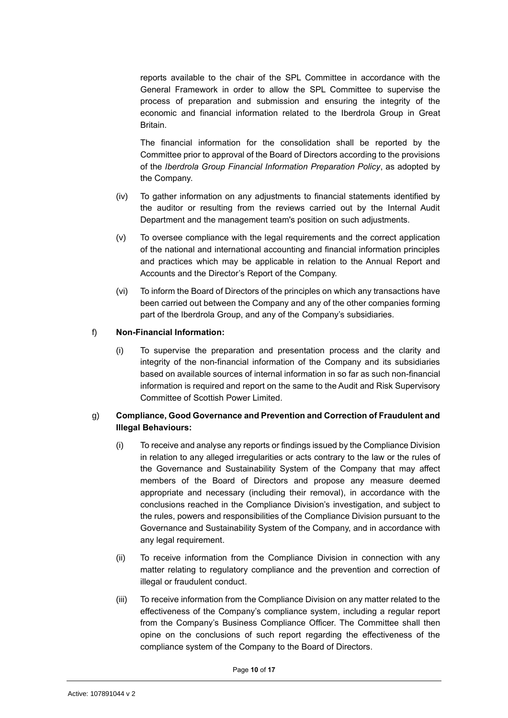reports available to the chair of the SPL Committee in accordance with the General Framework in order to allow the SPL Committee to supervise the process of preparation and submission and ensuring the integrity of the economic and financial information related to the Iberdrola Group in Great Britain.

The financial information for the consolidation shall be reported by the Committee prior to approval of the Board of Directors according to the provisions of the *Iberdrola Group Financial Information Preparation Policy*, as adopted by the Company.

- (iv) To gather information on any adjustments to financial statements identified by the auditor or resulting from the reviews carried out by the Internal Audit Department and the management team's position on such adjustments.
- (v) To oversee compliance with the legal requirements and the correct application of the national and international accounting and financial information principles and practices which may be applicable in relation to the Annual Report and Accounts and the Director's Report of the Company.
- (vi) To inform the Board of Directors of the principles on which any transactions have been carried out between the Company and any of the other companies forming part of the Iberdrola Group, and any of the Company's subsidiaries.

#### f) **Non-Financial Information:**

(i) To supervise the preparation and presentation process and the clarity and integrity of the non-financial information of the Company and its subsidiaries based on available sources of internal information in so far as such non-financial information is required and report on the same to the Audit and Risk Supervisory Committee of Scottish Power Limited.

#### g) **Compliance, Good Governance and Prevention and Correction of Fraudulent and Illegal Behaviours:**

- (i) To receive and analyse any reports or findings issued by the Compliance Division in relation to any alleged irregularities or acts contrary to the law or the rules of the Governance and Sustainability System of the Company that may affect members of the Board of Directors and propose any measure deemed appropriate and necessary (including their removal), in accordance with the conclusions reached in the Compliance Division's investigation, and subject to the rules, powers and responsibilities of the Compliance Division pursuant to the Governance and Sustainability System of the Company, and in accordance with any legal requirement.
- (ii) To receive information from the Compliance Division in connection with any matter relating to regulatory compliance and the prevention and correction of illegal or fraudulent conduct.
- (iii) To receive information from the Compliance Division on any matter related to the effectiveness of the Company's compliance system, including a regular report from the Company's Business Compliance Officer. The Committee shall then opine on the conclusions of such report regarding the effectiveness of the compliance system of the Company to the Board of Directors.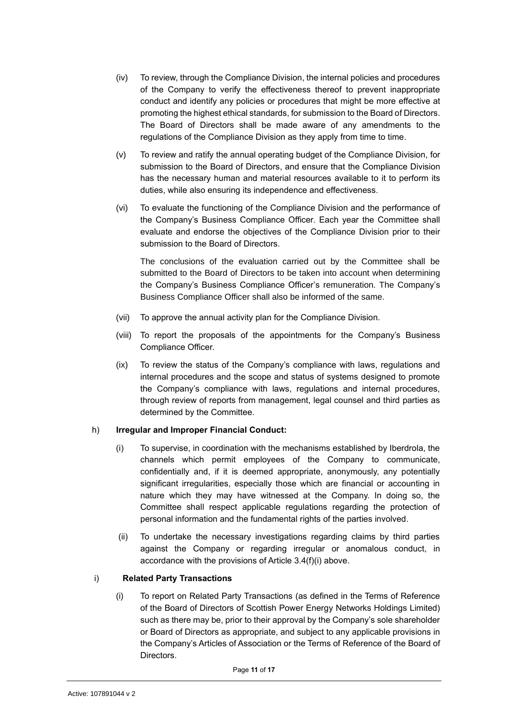- (iv) To review, through the Compliance Division, the internal policies and procedures of the Company to verify the effectiveness thereof to prevent inappropriate conduct and identify any policies or procedures that might be more effective at promoting the highest ethical standards, for submission to the Board of Directors. The Board of Directors shall be made aware of any amendments to the regulations of the Compliance Division as they apply from time to time.
- (v) To review and ratify the annual operating budget of the Compliance Division, for submission to the Board of Directors, and ensure that the Compliance Division has the necessary human and material resources available to it to perform its duties, while also ensuring its independence and effectiveness.
- (vi) To evaluate the functioning of the Compliance Division and the performance of the Company's Business Compliance Officer. Each year the Committee shall evaluate and endorse the objectives of the Compliance Division prior to their submission to the Board of Directors.

The conclusions of the evaluation carried out by the Committee shall be submitted to the Board of Directors to be taken into account when determining the Company's Business Compliance Officer's remuneration. The Company's Business Compliance Officer shall also be informed of the same.

- (vii) To approve the annual activity plan for the Compliance Division.
- (viii) To report the proposals of the appointments for the Company's Business Compliance Officer.
- (ix) To review the status of the Company's compliance with laws, regulations and internal procedures and the scope and status of systems designed to promote the Company's compliance with laws, regulations and internal procedures, through review of reports from management, legal counsel and third parties as determined by the Committee.

## h) **Irregular and Improper Financial Conduct:**

- (i) To supervise, in coordination with the mechanisms established by Iberdrola, the channels which permit employees of the Company to communicate, confidentially and, if it is deemed appropriate, anonymously, any potentially significant irregularities, especially those which are financial or accounting in nature which they may have witnessed at the Company. In doing so, the Committee shall respect applicable regulations regarding the protection of personal information and the fundamental rights of the parties involved.
- (ii) To undertake the necessary investigations regarding claims by third parties against the Company or regarding irregular or anomalous conduct, in accordance with the provisions of Article 3.4(f)(i) above.

#### i) **Related Party Transactions**

(i) To report on Related Party Transactions (as defined in the Terms of Reference of the Board of Directors of Scottish Power Energy Networks Holdings Limited) such as there may be, prior to their approval by the Company's sole shareholder or Board of Directors as appropriate, and subject to any applicable provisions in the Company's Articles of Association or the Terms of Reference of the Board of Directors.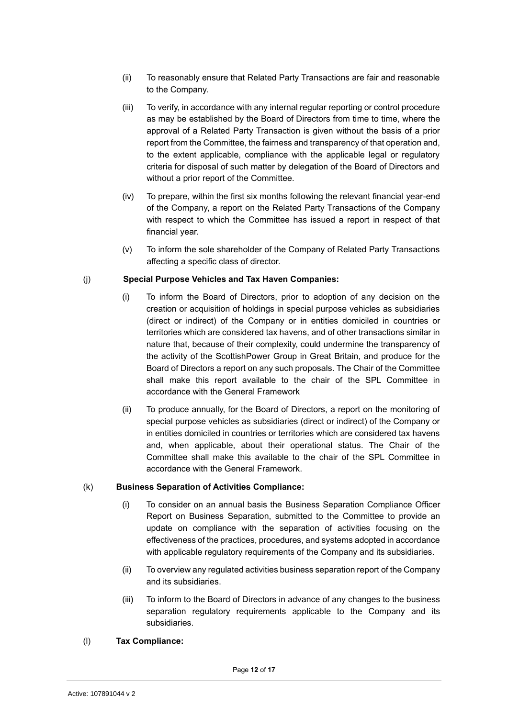- (ii) To reasonably ensure that Related Party Transactions are fair and reasonable to the Company.
- (iii) To verify, in accordance with any internal regular reporting or control procedure as may be established by the Board of Directors from time to time, where the approval of a Related Party Transaction is given without the basis of a prior report from the Committee, the fairness and transparency of that operation and, to the extent applicable, compliance with the applicable legal or regulatory criteria for disposal of such matter by delegation of the Board of Directors and without a prior report of the Committee.
- (iv) To prepare, within the first six months following the relevant financial year-end of the Company, a report on the Related Party Transactions of the Company with respect to which the Committee has issued a report in respect of that financial year.
- (v) To inform the sole shareholder of the Company of Related Party Transactions affecting a specific class of director.

#### (j) **Special Purpose Vehicles and Tax Haven Companies:**

- (i) To inform the Board of Directors, prior to adoption of any decision on the creation or acquisition of holdings in special purpose vehicles as subsidiaries (direct or indirect) of the Company or in entities domiciled in countries or territories which are considered tax havens, and of other transactions similar in nature that, because of their complexity, could undermine the transparency of the activity of the ScottishPower Group in Great Britain, and produce for the Board of Directors a report on any such proposals. The Chair of the Committee shall make this report available to the chair of the SPL Committee in accordance with the General Framework
- (ii) To produce annually, for the Board of Directors, a report on the monitoring of special purpose vehicles as subsidiaries (direct or indirect) of the Company or in entities domiciled in countries or territories which are considered tax havens and, when applicable, about their operational status. The Chair of the Committee shall make this available to the chair of the SPL Committee in accordance with the General Framework.

#### (k) **Business Separation of Activities Compliance:**

- (i) To consider on an annual basis the Business Separation Compliance Officer Report on Business Separation, submitted to the Committee to provide an update on compliance with the separation of activities focusing on the effectiveness of the practices, procedures, and systems adopted in accordance with applicable regulatory requirements of the Company and its subsidiaries.
- (ii) To overview any regulated activities business separation report of the Company and its subsidiaries.
- (iii) To inform to the Board of Directors in advance of any changes to the business separation regulatory requirements applicable to the Company and its subsidiaries.

## (l) **Tax Compliance:**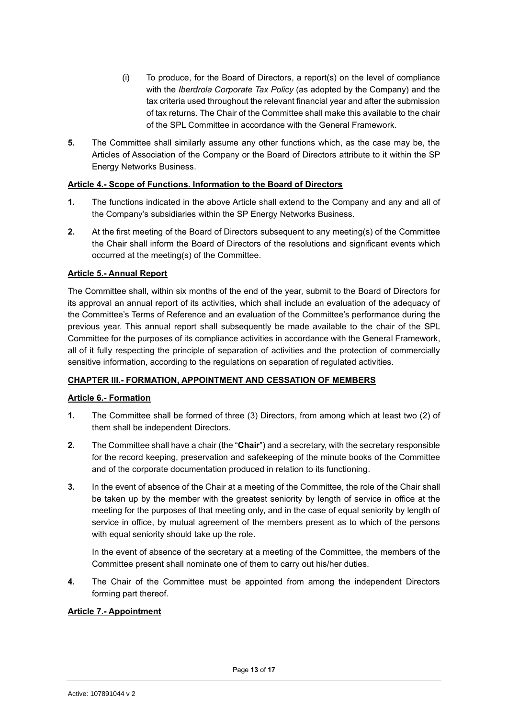- (i) To produce, for the Board of Directors, a report(s) on the level of compliance with the *Iberdrola Corporate Tax Policy* (as adopted by the Company) and the tax criteria used throughout the relevant financial year and after the submission of tax returns. The Chair of the Committee shall make this available to the chair of the SPL Committee in accordance with the General Framework.
- **5.** The Committee shall similarly assume any other functions which, as the case may be, the Articles of Association of the Company or the Board of Directors attribute to it within the SP Energy Networks Business.

#### <span id="page-12-0"></span>**Article 4.- Scope of Functions. Information to the Board of Directors**

- **1.** The functions indicated in the above Article shall extend to the Company and any and all of the Company's subsidiaries within the SP Energy Networks Business.
- **2.** At the first meeting of the Board of Directors subsequent to any meeting(s) of the Committee the Chair shall inform the Board of Directors of the resolutions and significant events which occurred at the meeting(s) of the Committee.

#### <span id="page-12-1"></span>**Article 5.- Annual Report**

The Committee shall, within six months of the end of the year, submit to the Board of Directors for its approval an annual report of its activities, which shall include an evaluation of the adequacy of the Committee's Terms of Reference and an evaluation of the Committee's performance during the previous year. This annual report shall subsequently be made available to the chair of the SPL Committee for the purposes of its compliance activities in accordance with the General Framework, all of it fully respecting the principle of separation of activities and the protection of commercially sensitive information, according to the regulations on separation of regulated activities.

#### <span id="page-12-2"></span>**CHAPTER III.- FORMATION, APPOINTMENT AND CESSATION OF MEMBERS**

#### <span id="page-12-3"></span>**Article 6.- Formation**

- **1.** The Committee shall be formed of three (3) Directors, from among which at least two (2) of them shall be independent Directors.
- **2.** The Committee shall have a chair (the "**Chair**") and a secretary, with the secretary responsible for the record keeping, preservation and safekeeping of the minute books of the Committee and of the corporate documentation produced in relation to its functioning.
- **3.** In the event of absence of the Chair at a meeting of the Committee, the role of the Chair shall be taken up by the member with the greatest seniority by length of service in office at the meeting for the purposes of that meeting only, and in the case of equal seniority by length of service in office, by mutual agreement of the members present as to which of the persons with equal seniority should take up the role.

In the event of absence of the secretary at a meeting of the Committee, the members of the Committee present shall nominate one of them to carry out his/her duties.

**4.** The Chair of the Committee must be appointed from among the independent Directors forming part thereof.

#### <span id="page-12-4"></span>**Article 7.- Appointment**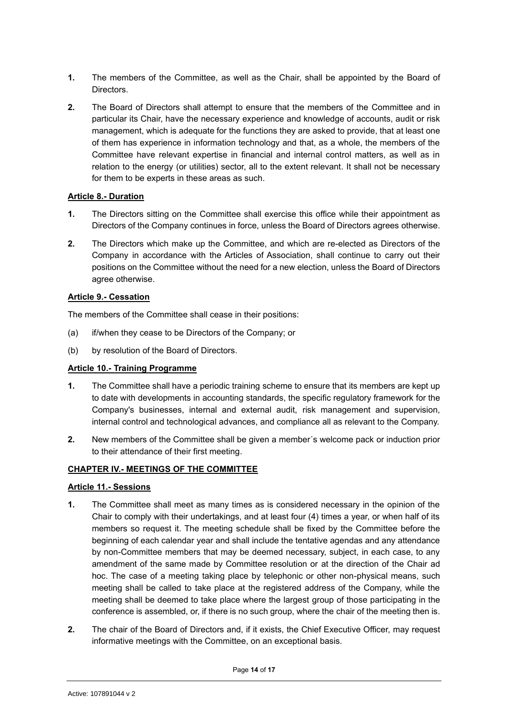- **1.** The members of the Committee, as well as the Chair, shall be appointed by the Board of Directors.
- **2.** The Board of Directors shall attempt to ensure that the members of the Committee and in particular its Chair, have the necessary experience and knowledge of accounts, audit or risk management, which is adequate for the functions they are asked to provide, that at least one of them has experience in information technology and that, as a whole, the members of the Committee have relevant expertise in financial and internal control matters, as well as in relation to the energy (or utilities) sector, all to the extent relevant. It shall not be necessary for them to be experts in these areas as such.

#### <span id="page-13-0"></span>**Article 8.- Duration**

- **1.** The Directors sitting on the Committee shall exercise this office while their appointment as Directors of the Company continues in force, unless the Board of Directors agrees otherwise.
- **2.** The Directors which make up the Committee, and which are re-elected as Directors of the Company in accordance with the Articles of Association, shall continue to carry out their positions on the Committee without the need for a new election, unless the Board of Directors agree otherwise.

#### <span id="page-13-1"></span>**Article 9.- Cessation**

The members of the Committee shall cease in their positions:

- (a) if/when they cease to be Directors of the Company; or
- (b) by resolution of the Board of Directors.

#### <span id="page-13-2"></span>**Article 10.- Training Programme**

- **1.** The Committee shall have a periodic training scheme to ensure that its members are kept up to date with developments in accounting standards, the specific regulatory framework for the Company's businesses, internal and external audit, risk management and supervision, internal control and technological advances, and compliance all as relevant to the Company.
- **2.** New members of the Committee shall be given a member´s welcome pack or induction prior to their attendance of their first meeting.

#### <span id="page-13-3"></span>**CHAPTER IV.- MEETINGS OF THE COMMITTEE**

#### <span id="page-13-4"></span>**Article 11.- Sessions**

- **1.** The Committee shall meet as many times as is considered necessary in the opinion of the Chair to comply with their undertakings, and at least four (4) times a year, or when half of its members so request it. The meeting schedule shall be fixed by the Committee before the beginning of each calendar year and shall include the tentative agendas and any attendance by non-Committee members that may be deemed necessary, subject, in each case, to any amendment of the same made by Committee resolution or at the direction of the Chair ad hoc. The case of a meeting taking place by telephonic or other non-physical means, such meeting shall be called to take place at the registered address of the Company, while the meeting shall be deemed to take place where the largest group of those participating in the conference is assembled, or, if there is no such group, where the chair of the meeting then is.
- **2.** The chair of the Board of Directors and, if it exists, the Chief Executive Officer, may request informative meetings with the Committee, on an exceptional basis.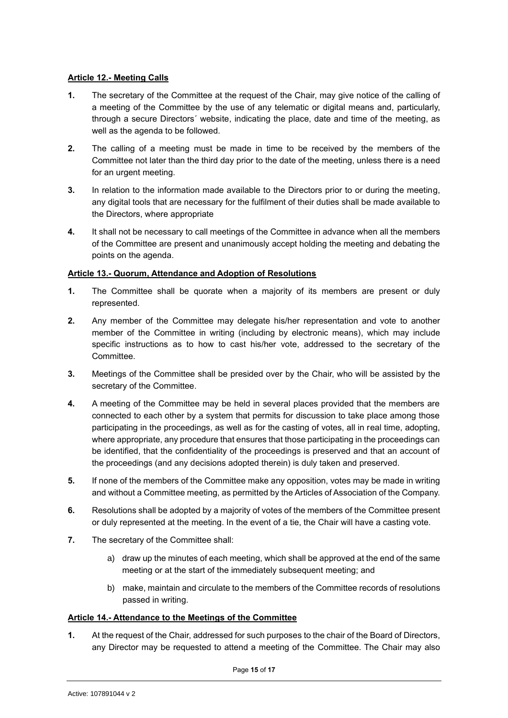#### <span id="page-14-0"></span>**Article 12.- Meeting Calls**

- **1.** The secretary of the Committee at the request of the Chair, may give notice of the calling of a meeting of the Committee by the use of any telematic or digital means and, particularly, through a secure Directors´ website, indicating the place, date and time of the meeting, as well as the agenda to be followed.
- **2.** The calling of a meeting must be made in time to be received by the members of the Committee not later than the third day prior to the date of the meeting, unless there is a need for an urgent meeting.
- **3.** In relation to the information made available to the Directors prior to or during the meeting, any digital tools that are necessary for the fulfilment of their duties shall be made available to the Directors, where appropriate
- **4.** It shall not be necessary to call meetings of the Committee in advance when all the members of the Committee are present and unanimously accept holding the meeting and debating the points on the agenda.

#### <span id="page-14-1"></span>**Article 13.- Quorum, Attendance and Adoption of Resolutions**

- **1.** The Committee shall be quorate when a majority of its members are present or duly represented.
- **2.** Any member of the Committee may delegate his/her representation and vote to another member of the Committee in writing (including by electronic means), which may include specific instructions as to how to cast his/her vote, addressed to the secretary of the Committee.
- **3.** Meetings of the Committee shall be presided over by the Chair, who will be assisted by the secretary of the Committee.
- **4.** A meeting of the Committee may be held in several places provided that the members are connected to each other by a system that permits for discussion to take place among those participating in the proceedings, as well as for the casting of votes, all in real time, adopting, where appropriate, any procedure that ensures that those participating in the proceedings can be identified, that the confidentiality of the proceedings is preserved and that an account of the proceedings (and any decisions adopted therein) is duly taken and preserved.
- **5.** If none of the members of the Committee make any opposition, votes may be made in writing and without a Committee meeting, as permitted by the Articles of Association of the Company.
- **6.** Resolutions shall be adopted by a majority of votes of the members of the Committee present or duly represented at the meeting. In the event of a tie, the Chair will have a casting vote.
- **7.** The secretary of the Committee shall:
	- a) draw up the minutes of each meeting, which shall be approved at the end of the same meeting or at the start of the immediately subsequent meeting; and
	- b) make, maintain and circulate to the members of the Committee records of resolutions passed in writing.

#### <span id="page-14-2"></span>**Article 14.- Attendance to the Meetings of the Committee**

**1.** At the request of the Chair, addressed for such purposes to the chair of the Board of Directors, any Director may be requested to attend a meeting of the Committee. The Chair may also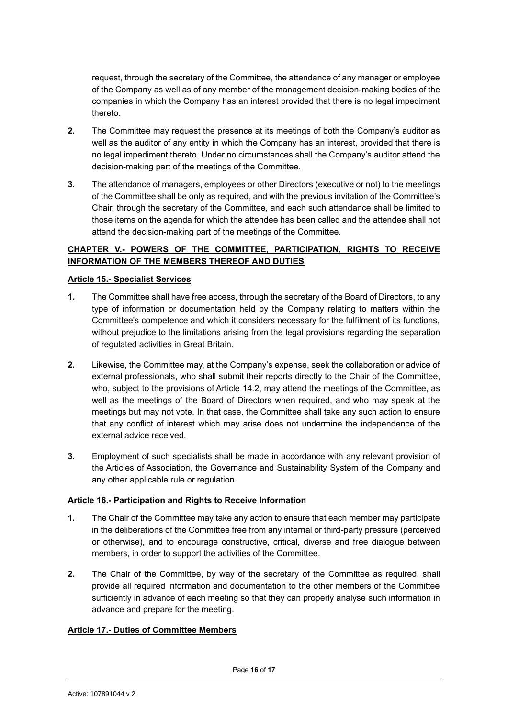request, through the secretary of the Committee, the attendance of any manager or employee of the Company as well as of any member of the management decision-making bodies of the companies in which the Company has an interest provided that there is no legal impediment thereto.

- **2.** The Committee may request the presence at its meetings of both the Company's auditor as well as the auditor of any entity in which the Company has an interest, provided that there is no legal impediment thereto. Under no circumstances shall the Company's auditor attend the decision-making part of the meetings of the Committee.
- **3.** The attendance of managers, employees or other Directors (executive or not) to the meetings of the Committee shall be only as required, and with the previous invitation of the Committee's Chair, through the secretary of the Committee, and each such attendance shall be limited to those items on the agenda for which the attendee has been called and the attendee shall not attend the decision-making part of the meetings of the Committee.

## <span id="page-15-0"></span>**CHAPTER V.- POWERS OF THE COMMITTEE, PARTICIPATION, RIGHTS TO RECEIVE INFORMATION OF THE MEMBERS THEREOF AND DUTIES**

#### <span id="page-15-1"></span>**Article 15.- Specialist Services**

- **1.** The Committee shall have free access, through the secretary of the Board of Directors, to any type of information or documentation held by the Company relating to matters within the Committee's competence and which it considers necessary for the fulfilment of its functions, without prejudice to the limitations arising from the legal provisions regarding the separation of regulated activities in Great Britain.
- **2.** Likewise, the Committee may, at the Company's expense, seek the collaboration or advice of external professionals, who shall submit their reports directly to the Chair of the Committee, who, subject to the provisions of Article 14.2, may attend the meetings of the Committee, as well as the meetings of the Board of Directors when required, and who may speak at the meetings but may not vote. In that case, the Committee shall take any such action to ensure that any conflict of interest which may arise does not undermine the independence of the external advice received.
- **3.** Employment of such specialists shall be made in accordance with any relevant provision of the Articles of Association, the Governance and Sustainability System of the Company and any other applicable rule or regulation.

#### <span id="page-15-2"></span>**Article 16.- Participation and Rights to Receive Information**

- **1.** The Chair of the Committee may take any action to ensure that each member may participate in the deliberations of the Committee free from any internal or third-party pressure (perceived or otherwise), and to encourage constructive, critical, diverse and free dialogue between members, in order to support the activities of the Committee.
- **2.** The Chair of the Committee, by way of the secretary of the Committee as required, shall provide all required information and documentation to the other members of the Committee sufficiently in advance of each meeting so that they can properly analyse such information in advance and prepare for the meeting.

#### <span id="page-15-3"></span>**Article 17.- Duties of Committee Members**